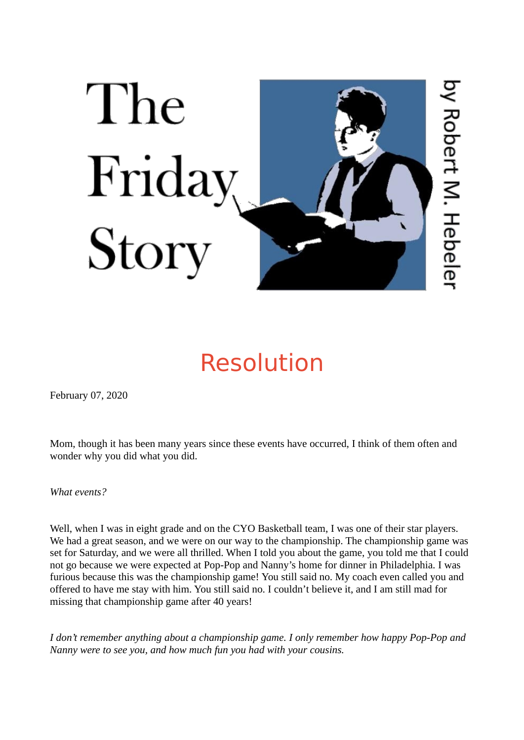

## [Resolution](https://www.thefridaystory.com/stories/resolution)

February 07, 2020

Mom, though it has been many years since these events have occurred, I think of them often and wonder why you did what you did.

*What events?*

Well, when I was in eight grade and on the CYO Basketball team, I was one of their star players. We had a great season, and we were on our way to the championship. The championship game was set for Saturday, and we were all thrilled. When I told you about the game, you told me that I could not go because we were expected at Pop-Pop and Nanny's home for dinner in Philadelphia. I was furious because this was the championship game! You still said no. My coach even called you and offered to have me stay with him. You still said no. I couldn't believe it, and I am still mad for missing that championship game after 40 years!

*I don't remember anything about a championship game. I only remember how happy Pop-Pop and Nanny were to see you, and how much fun you had with your cousins.*